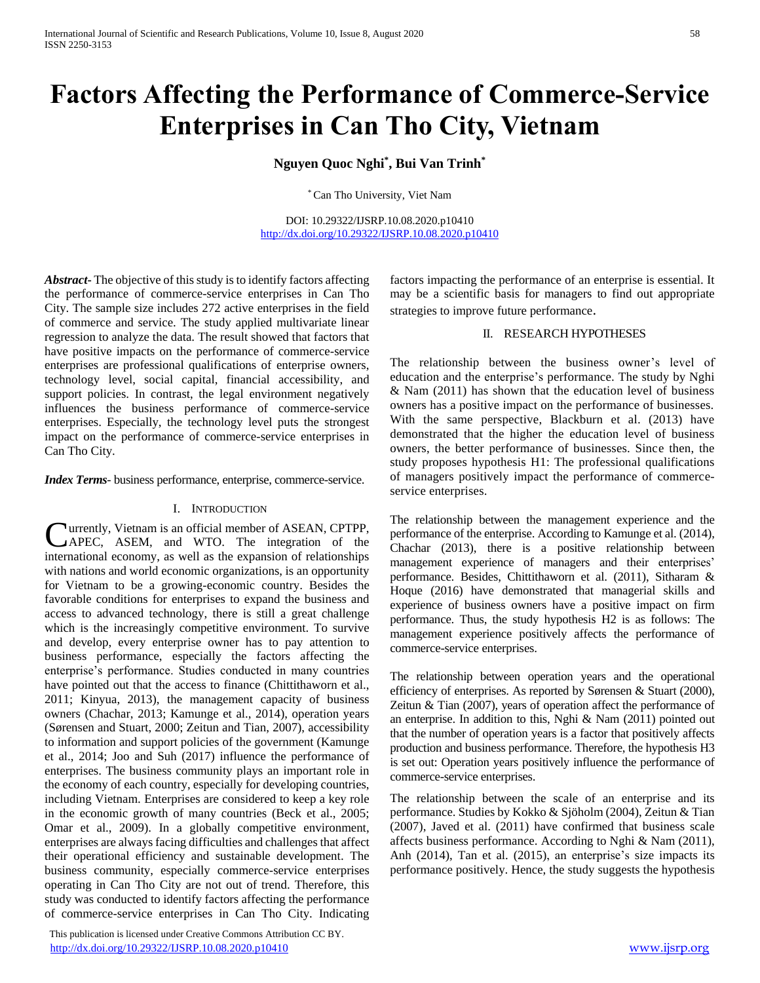# **Factors Affecting the Performance of Commerce-Service Enterprises in Can Tho City, Vietnam**

# **Nguyen Quoc Nghi\* , Bui Van Trinh\***

\* Can Tho University, Viet Nam

DOI: 10.29322/IJSRP.10.08.2020.p10410 <http://dx.doi.org/10.29322/IJSRP.10.08.2020.p10410>

*Abstract***-** The objective of this study is to identify factors affecting the performance of commerce-service enterprises in Can Tho City. The sample size includes 272 active enterprises in the field of commerce and service. The study applied multivariate linear regression to analyze the data. The result showed that factors that have positive impacts on the performance of commerce-service enterprises are professional qualifications of enterprise owners, technology level, social capital, financial accessibility, and support policies. In contrast, the legal environment negatively influences the business performance of commerce-service enterprises. Especially, the technology level puts the strongest impact on the performance of commerce-service enterprises in Can Tho City.

## *Index Terms*- business performance, enterprise, commerce-service.

#### I. INTRODUCTION

urrently, Vietnam is an official member of ASEAN, CPTPP, Currently, Vietnam is an official member of ASEAN, CPTPP,<br>
APEC, ASEM, and WTO. The integration of the international economy, as well as the expansion of relationships with nations and world economic organizations, is an opportunity for Vietnam to be a growing-economic country. Besides the favorable conditions for enterprises to expand the business and access to advanced technology, there is still a great challenge which is the increasingly competitive environment. To survive and develop, every enterprise owner has to pay attention to business performance, especially the factors affecting the enterprise's performance. Studies conducted in many countries have pointed out that the access to finance (Chittithaworn et al., 2011; Kinyua, 2013), the management capacity of business owners (Chachar, 2013; Kamunge et al., 2014), operation years (Sørensen and Stuart, 2000; Zeitun and Tian, 2007), accessibility to information and support policies of the government (Kamunge et al., 2014; Joo and Suh (2017) influence the performance of enterprises. The business community plays an important role in the economy of each country, especially for developing countries, including Vietnam. Enterprises are considered to keep a key role in the economic growth of many countries (Beck et al., 2005; Omar et al., 2009). In a globally competitive environment, enterprises are always facing difficulties and challenges that affect their operational efficiency and sustainable development. The business community, especially commerce-service enterprises operating in Can Tho City are not out of trend. Therefore, this study was conducted to identify factors affecting the performance of commerce-service enterprises in Can Tho City. Indicating

 This publication is licensed under Creative Commons Attribution CC BY. <http://dx.doi.org/10.29322/IJSRP.10.08.2020.p10410> [www.ijsrp.org](http://ijsrp.org/)

factors impacting the performance of an enterprise is essential. It may be a scientific basis for managers to find out appropriate strategies to improve future performance.

## II. RESEARCH HYPOTHESES

The relationship between the business owner's level of education and the enterprise's performance. The study by Nghi & Nam (2011) has shown that the education level of business owners has a positive impact on the performance of businesses. With the same perspective, Blackburn et al. (2013) have demonstrated that the higher the education level of business owners, the better performance of businesses. Since then, the study proposes hypothesis H1: The professional qualifications of managers positively impact the performance of commerceservice enterprises.

The relationship between the management experience and the performance of the enterprise. According to Kamunge et al. (2014), Chachar (2013), there is a positive relationship between management experience of managers and their enterprises' performance. Besides, Chittithaworn et al. (2011), Sitharam & Hoque (2016) have demonstrated that managerial skills and experience of business owners have a positive impact on firm performance. Thus, the study hypothesis H2 is as follows: The management experience positively affects the performance of commerce-service enterprises.

The relationship between operation years and the operational efficiency of enterprises. As reported by Sørensen & Stuart (2000), Zeitun & Tian (2007), years of operation affect the performance of an enterprise. In addition to this, Nghi & Nam (2011) pointed out that the number of operation years is a factor that positively affects production and business performance. Therefore, the hypothesis H3 is set out: Operation years positively influence the performance of commerce-service enterprises.

The relationship between the scale of an enterprise and its performance. Studies by Kokko & Sjöholm (2004), Zeitun & Tian (2007), Javed et al. (2011) have confirmed that business scale affects business performance. According to Nghi & Nam (2011), Anh (2014), Tan et al. (2015), an enterprise's size impacts its performance positively. Hence, the study suggests the hypothesis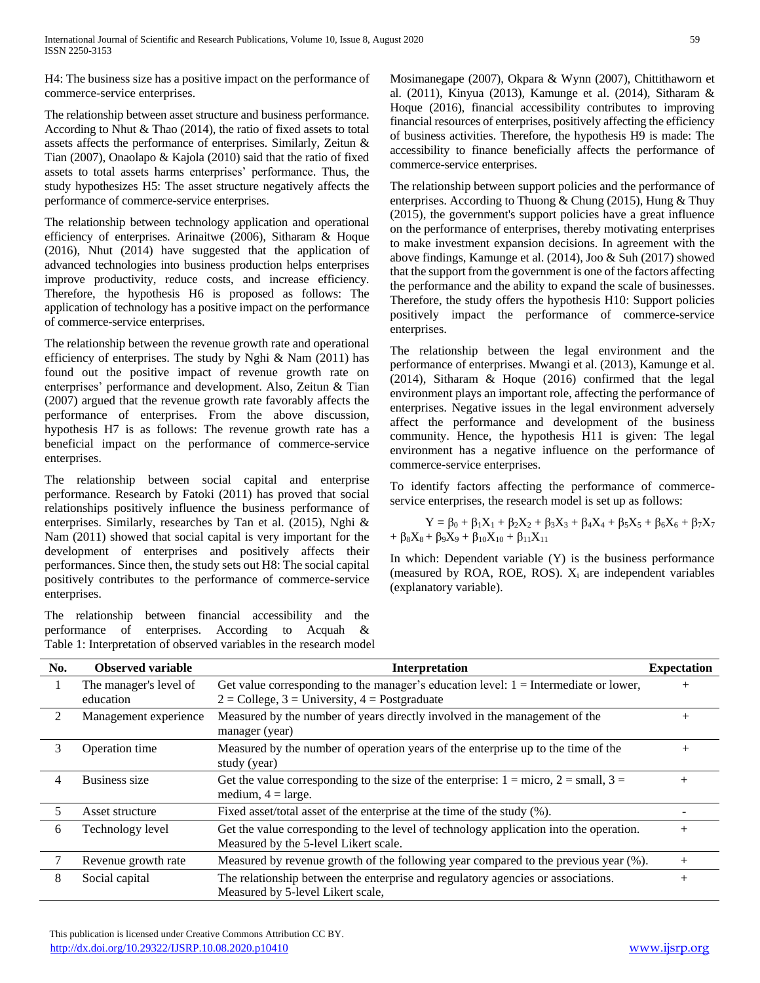H4: The business size has a positive impact on the performance of commerce-service enterprises.

The relationship between asset structure and business performance. According to Nhut & Thao (2014), the ratio of fixed assets to total assets affects the performance of enterprises. Similarly, Zeitun & Tian (2007), Onaolapo & Kajola (2010) said that the ratio of fixed assets to total assets harms enterprises' performance. Thus, the study hypothesizes H5: The asset structure negatively affects the performance of commerce-service enterprises.

The relationship between technology application and operational efficiency of enterprises. Arinaitwe (2006), Sitharam & Hoque (2016), Nhut (2014) have suggested that the application of advanced technologies into business production helps enterprises improve productivity, reduce costs, and increase efficiency. Therefore, the hypothesis H6 is proposed as follows: The application of technology has a positive impact on the performance of commerce-service enterprises.

The relationship between the revenue growth rate and operational efficiency of enterprises. The study by Nghi & Nam (2011) has found out the positive impact of revenue growth rate on enterprises' performance and development. Also, Zeitun & Tian (2007) argued that the revenue growth rate favorably affects the performance of enterprises. From the above discussion, hypothesis H7 is as follows: The revenue growth rate has a beneficial impact on the performance of commerce-service enterprises.

The relationship between social capital and enterprise performance. Research by Fatoki (2011) has proved that social relationships positively influence the business performance of enterprises. Similarly, researches by Tan et al. (2015), Nghi & Nam (2011) showed that social capital is very important for the development of enterprises and positively affects their performances. Since then, the study sets out H8: The social capital positively contributes to the performance of commerce-service enterprises.

The relationship between financial accessibility and the performance of enterprises. According to Acquah & Table 1: Interpretation of observed variables in the research model Mosimanegape (2007), Okpara & Wynn (2007), Chittithaworn et al. (2011), Kinyua (2013), Kamunge et al. (2014), Sitharam & Hoque (2016), financial accessibility contributes to improving financial resources of enterprises, positively affecting the efficiency of business activities. Therefore, the hypothesis H9 is made: The accessibility to finance beneficially affects the performance of commerce-service enterprises.

The relationship between support policies and the performance of enterprises. According to Thuong & Chung (2015), Hung & Thuy (2015), the government's support policies have a great influence on the performance of enterprises, thereby motivating enterprises to make investment expansion decisions. In agreement with the above findings, Kamunge et al. (2014), Joo & Suh (2017) showed that the support from the government is one of the factors affecting the performance and the ability to expand the scale of businesses. Therefore, the study offers the hypothesis H10: Support policies positively impact the performance of commerce-service enterprises.

The relationship between the legal environment and the performance of enterprises. Mwangi et al. (2013), Kamunge et al. (2014), Sitharam & Hoque (2016) confirmed that the legal environment plays an important role, affecting the performance of enterprises. Negative issues in the legal environment adversely affect the performance and development of the business community. Hence, the hypothesis H11 is given: The legal environment has a negative influence on the performance of commerce-service enterprises.

To identify factors affecting the performance of commerceservice enterprises, the research model is set up as follows:

$$
Y = \beta_0 + \beta_1 X_1 + \beta_2 X_2 + \beta_3 X_3 + \beta_4 X_4 + \beta_5 X_5 + \beta_6 X_6 + \beta_7 X_7 + \beta_8 X_8 + \beta_9 X_9 + \beta_{10} X_{10} + \beta_{11} X_{11}
$$

In which: Dependent variable  $(Y)$  is the business performance (measured by ROA, ROE, ROS).  $X_i$  are independent variables (explanatory variable).

| No. | <b>Observed variable</b><br><b>Interpretation</b> |                                                                                                                                               |        |  |  |
|-----|---------------------------------------------------|-----------------------------------------------------------------------------------------------------------------------------------------------|--------|--|--|
|     | The manager's level of<br>education               | Get value corresponding to the manager's education level: $1 =$ Intermediate or lower,<br>$2 =$ College, $3 =$ University, $4 =$ Postgraduate |        |  |  |
| 2   | Management experience                             | Measured by the number of years directly involved in the management of the<br>manager (year)                                                  |        |  |  |
| 3   | Operation time                                    | Measured by the number of operation years of the enterprise up to the time of the<br>study (year)                                             |        |  |  |
| 4   | Business size                                     | Get the value corresponding to the size of the enterprise: $1 =$ micro, $2 =$ small, $3 =$<br>medium, $4 = \text{large}$ .                    | $^{+}$ |  |  |
| 5   | Asset structure                                   | Fixed asset/total asset of the enterprise at the time of the study (%).                                                                       |        |  |  |
| 6   | Technology level                                  | Get the value corresponding to the level of technology application into the operation.<br>Measured by the 5-level Likert scale.               |        |  |  |
|     | Revenue growth rate                               | Measured by revenue growth of the following year compared to the previous year (%).                                                           | $+$    |  |  |
| 8   | Social capital                                    | The relationship between the enterprise and regulatory agencies or associations.<br>Measured by 5-level Likert scale,                         | $^{+}$ |  |  |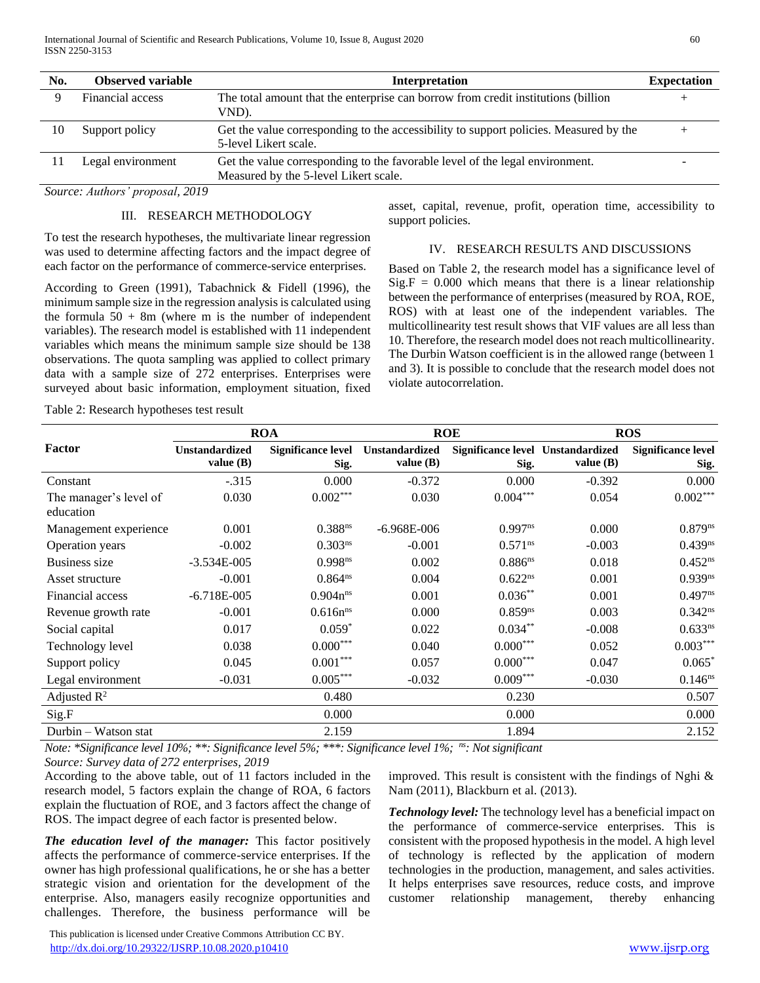| No. | <b>Observed variable</b> | <b>Interpretation</b>                                                                                                 |  |  |
|-----|--------------------------|-----------------------------------------------------------------------------------------------------------------------|--|--|
|     | Financial access         | The total amount that the enterprise can borrow from credit institutions (billion<br>VND).                            |  |  |
| 10  | Support policy           | Get the value corresponding to the accessibility to support policies. Measured by the<br>5-level Likert scale.        |  |  |
|     | Legal environment        | Get the value corresponding to the favorable level of the legal environment.<br>Measured by the 5-level Likert scale. |  |  |

*Source: Authors' proposal, 2019*

## III. RESEARCH METHODOLOGY

To test the research hypotheses, the multivariate linear regression was used to determine affecting factors and the impact degree of each factor on the performance of commerce-service enterprises.

According to Green (1991), Tabachnick & Fidell (1996), the minimum sample size in the regression analysis is calculated using the formula  $50 + 8m$  (where m is the number of independent variables). The research model is established with 11 independent variables which means the minimum sample size should be 138 observations. The quota sampling was applied to collect primary data with a sample size of 272 enterprises. Enterprises were surveyed about basic information, employment situation, fixed

asset, capital, revenue, profit, operation time, accessibility to support policies.

#### IV. RESEARCH RESULTS AND DISCUSSIONS

Based on Table 2, the research model has a significance level of  $Sig.F = 0.000$  which means that there is a linear relationship between the performance of enterprises (measured by ROA, ROE, ROS) with at least one of the independent variables. The multicollinearity test result shows that VIF values are all less than 10. Therefore, the research model does not reach multicollinearity. The Durbin Watson coefficient is in the allowed range (between 1 and 3). It is possible to conclude that the research model does not violate autocorrelation.

Table 2: Research hypotheses test result

|                                     | <b>ROA</b>                           |                                   | <b>ROE</b>                           |                                           | <b>ROS</b>  |                                   |
|-------------------------------------|--------------------------------------|-----------------------------------|--------------------------------------|-------------------------------------------|-------------|-----------------------------------|
| Factor                              | <b>Unstandardized</b><br>value $(B)$ | <b>Significance level</b><br>Sig. | <b>Unstandardized</b><br>value $(B)$ | Significance level Unstandardized<br>Sig. | value $(B)$ | <b>Significance level</b><br>Sig. |
| Constant                            | $-.315$                              | 0.000                             | $-0.372$                             | 0.000                                     | $-0.392$    | 0.000                             |
| The manager's level of<br>education | 0.030                                | $0.002***$                        | 0.030                                | $0.004***$                                | 0.054       | $0.002***$                        |
| Management experience               | 0.001                                | 0.388 <sup>ns</sup>               | $-6.968E - 006$                      | $0.997^{ns}$                              | 0.000       | $0.879^{ns}$                      |
| Operation years                     | $-0.002$                             | 0.303 <sup>ns</sup>               | $-0.001$                             | $0.571^{\text{ns}}$                       | $-0.003$    | 0.439 <sup>ns</sup>               |
| <b>Business size</b>                | $-3.534E - 005$                      | 0.998 <sup>ns</sup>               | 0.002                                | $0.886^{ns}$                              | 0.018       | $0.452^{ns}$                      |
| Asset structure                     | $-0.001$                             | $0.864^{ns}$                      | 0.004                                | $0.622^{ns}$                              | 0.001       | $0.939^{ns}$                      |
| Financial access                    | $-6.718E - 005$                      | $0.904n^{ns}$                     | 0.001                                | $0.036***$                                | 0.001       | $0.497^{ns}$                      |
| Revenue growth rate                 | $-0.001$                             | $0.616n^{ns}$                     | 0.000                                | $0.859^{ns}$                              | 0.003       | $0.342^{ns}$                      |
| Social capital                      | 0.017                                | $0.059*$                          | 0.022                                | $0.034***$                                | $-0.008$    | $0.633^{ns}$                      |
| Technology level                    | 0.038                                | $0.000***$                        | 0.040                                | $0.000***$                                | 0.052       | $0.003***$                        |
| Support policy                      | 0.045                                | $0.001***$                        | 0.057                                | $0.000***$                                | 0.047       | $0.065*$                          |
| Legal environment                   | $-0.031$                             | $0.005***$                        | $-0.032$                             | $0.009***$                                | $-0.030$    | $0.146^{ns}$                      |
| Adjusted $\mathbb{R}^2$             |                                      | 0.480                             |                                      | 0.230                                     |             | 0.507                             |
| Sig.F                               |                                      | 0.000                             |                                      | 0.000                                     |             | 0.000                             |
| Durbin - Watson stat                |                                      | 2.159                             |                                      | 1.894                                     |             | 2.152                             |

*Note: \*Significance level 10%; \*\*: Significance level 5%; \*\*\*: Significance level 1%; ns: Not significant*

*Source: Survey data of 272 enterprises, 2019*

According to the above table, out of 11 factors included in the research model, 5 factors explain the change of ROA, 6 factors explain the fluctuation of ROE, and 3 factors affect the change of ROS. The impact degree of each factor is presented below.

*The education level of the manager:* This factor positively affects the performance of commerce-service enterprises. If the owner has high professional qualifications, he or she has a better strategic vision and orientation for the development of the enterprise. Also, managers easily recognize opportunities and challenges. Therefore, the business performance will be

improved. This result is consistent with the findings of Nghi & Nam (2011), Blackburn et al. (2013).

*Technology level:* The technology level has a beneficial impact on the performance of commerce-service enterprises. This is consistent with the proposed hypothesis in the model. A high level of technology is reflected by the application of modern technologies in the production, management, and sales activities. It helps enterprises save resources, reduce costs, and improve customer relationship management, thereby enhancing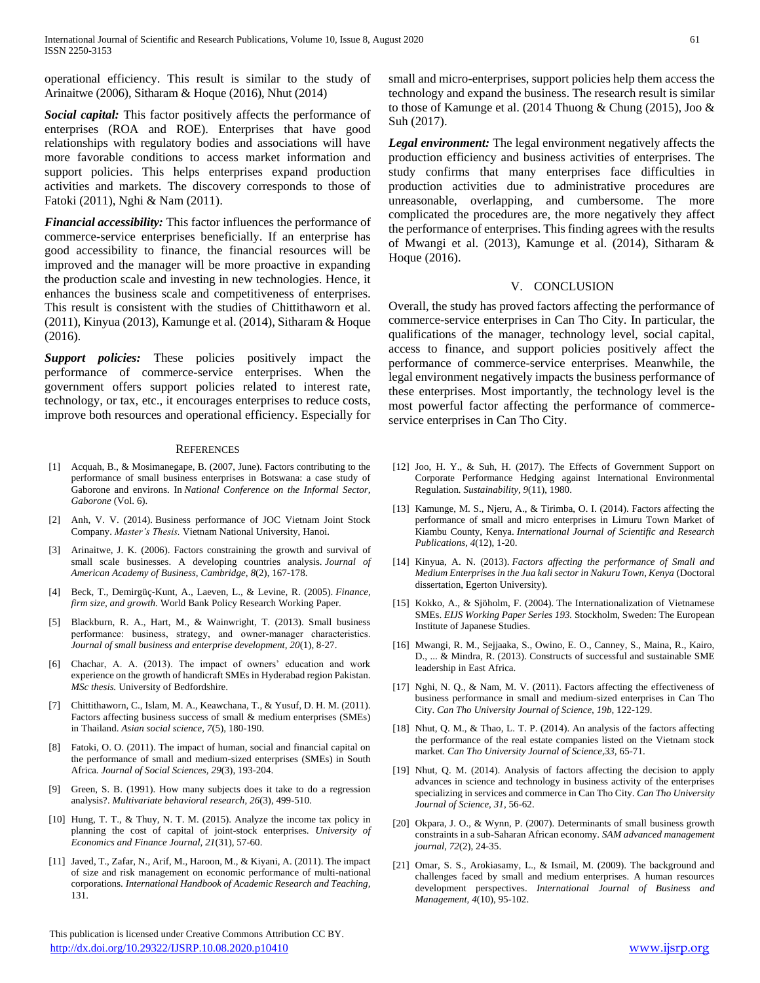operational efficiency. This result is similar to the study of Arinaitwe (2006), Sitharam & Hoque (2016), Nhut (2014)

*Social capital:* This factor positively affects the performance of enterprises (ROA and ROE). Enterprises that have good relationships with regulatory bodies and associations will have more favorable conditions to access market information and support policies. This helps enterprises expand production activities and markets. The discovery corresponds to those of Fatoki (2011), Nghi & Nam (2011).

*Financial accessibility:* This factor influences the performance of commerce-service enterprises beneficially. If an enterprise has good accessibility to finance, the financial resources will be improved and the manager will be more proactive in expanding the production scale and investing in new technologies. Hence, it enhances the business scale and competitiveness of enterprises. This result is consistent with the studies of Chittithaworn et al. (2011), Kinyua (2013), Kamunge et al. (2014), Sitharam & Hoque (2016).

*Support policies:* These policies positively impact the performance of commerce-service enterprises. When the government offers support policies related to interest rate, technology, or tax, etc., it encourages enterprises to reduce costs, improve both resources and operational efficiency. Especially for

#### **REFERENCES**

- [1] Acquah, B., & Mosimanegape, B. (2007, June). Factors contributing to the performance of small business enterprises in Botswana: a case study of Gaborone and environs. In *National Conference on the Informal Sector, Gaborone* (Vol. 6).
- [2] Anh, V. V. (2014). Business performance of JOC Vietnam Joint Stock Company. *Master's Thesis.* Vietnam National University, Hanoi.
- [3] Arinaitwe, J. K. (2006). Factors constraining the growth and survival of small scale businesses. A developing countries analysis. *Journal of American Academy of Business, Cambridge, 8*(2), 167-178.
- [4] Beck, T., Demirgüç-Kunt, A., Laeven, L., & Levine, R. (2005). *Finance, firm size, and growth.* World Bank Policy Research Working Paper.
- [5] Blackburn, R. A., Hart, M., & Wainwright, T. (2013). Small business performance: business, strategy, and owner‐manager characteristics. *Journal of small business and enterprise development, 20*(1), 8-27.
- [6] Chachar, A. A. (2013). The impact of owners' education and work experience on the growth of handicraft SMEs in Hyderabad region Pakistan. *MSc thesis.* University of Bedfordshire.
- [7] Chittithaworn, C., Islam, M. A., Keawchana, T., & Yusuf, D. H. M. (2011). Factors affecting business success of small & medium enterprises (SMEs) in Thailand. *Asian social science, 7*(5), 180-190.
- [8] Fatoki, O. O. (2011). The impact of human, social and financial capital on the performance of small and medium-sized enterprises (SMEs) in South Africa*. Journal of Social Sciences, 29*(3), 193-204.
- [9] Green, S. B. (1991). How many subjects does it take to do a regression analysis?. *Multivariate behavioral research*, *26*(3), 499-510.
- [10] Hung, T. T., & Thuy, N. T. M. (2015). Analyze the income tax policy in planning the cost of capital of joint-stock enterprises. *University of Economics and Finance Journal, 21*(31), 57-60.
- [11] Javed, T., Zafar, N., Arif, M., Haroon, M., & Kiyani, A. (2011). The impact of size and risk management on economic performance of multi-national corporations. *International Handbook of Academic Research and Teaching,* 131.

 This publication is licensed under Creative Commons Attribution CC BY. <http://dx.doi.org/10.29322/IJSRP.10.08.2020.p10410> [www.ijsrp.org](http://ijsrp.org/)

small and micro-enterprises, support policies help them access the technology and expand the business. The research result is similar to those of Kamunge et al. (2014 Thuong & Chung (2015), Joo & Suh (2017).

*Legal environment:* The legal environment negatively affects the production efficiency and business activities of enterprises. The study confirms that many enterprises face difficulties in production activities due to administrative procedures are unreasonable, overlapping, and cumbersome. The more complicated the procedures are, the more negatively they affect the performance of enterprises. This finding agrees with the results of Mwangi et al. (2013), Kamunge et al. (2014), Sitharam & Hoque (2016).

## V. CONCLUSION

Overall, the study has proved factors affecting the performance of commerce-service enterprises in Can Tho City. In particular, the qualifications of the manager, technology level, social capital, access to finance, and support policies positively affect the performance of commerce-service enterprises. Meanwhile, the legal environment negatively impacts the business performance of these enterprises. Most importantly, the technology level is the most powerful factor affecting the performance of commerceservice enterprises in Can Tho City.

- [12] Joo, H. Y., & Suh, H. (2017). The Effects of Government Support on Corporate Performance Hedging against International Environmental Regulation*. Sustainability, 9*(11), 1980.
- [13] Kamunge, M. S., Njeru, A., & Tirimba, O. I. (2014). Factors affecting the performance of small and micro enterprises in Limuru Town Market of Kiambu County, Kenya. *International Journal of Scientific and Research Publications, 4*(12), 1-20.
- [14] Kinyua, A. N. (2013). *Factors affecting the performance of Small and Medium Enterprises in the Jua kali sector in Nakuru Town, Kenya* (Doctoral dissertation, Egerton University).
- [15] Kokko, A., & Sjöholm, F. (2004). The Internationalization of Vietnamese SMEs. *EIJS Working Paper Series 193.* Stockholm, Sweden: The European Institute of Japanese Studies.
- [16] Mwangi, R. M., Sejjaaka, S., Owino, E. O., Canney, S., Maina, R., Kairo, D., ... & Mindra, R. (2013). Constructs of successful and sustainable SME leadership in East Africa.
- [17] Nghi, N. Q., & Nam, M. V. (2011). Factors affecting the effectiveness of business performance in small and medium-sized enterprises in Can Tho City. *Can Tho University Journal of Science, 19b,* 122-129.
- [18] Nhut, Q. M., & Thao, L. T. P. (2014). An analysis of the factors affecting the performance of the real estate companies listed on the Vietnam stock market. *Can Tho University Journal of Science,33,* 65-71.
- [19] Nhut, Q. M. (2014). Analysis of factors affecting the decision to apply advances in science and technology in business activity of the enterprises specializing in services and commerce in Can Tho City. *Can Tho University Journal of Science, 31,* 56-62.
- [20] Okpara, J. O., & Wynn, P. (2007). Determinants of small business growth constraints in a sub-Saharan African economy. *SAM advanced management journal, 72*(2), 24-35.
- [21] Omar, S. S., Arokiasamy, L., & Ismail, M. (2009). The background and challenges faced by small and medium enterprises. A human resources development perspectives. *International Journal of Business and Management, 4*(10), 95-102.